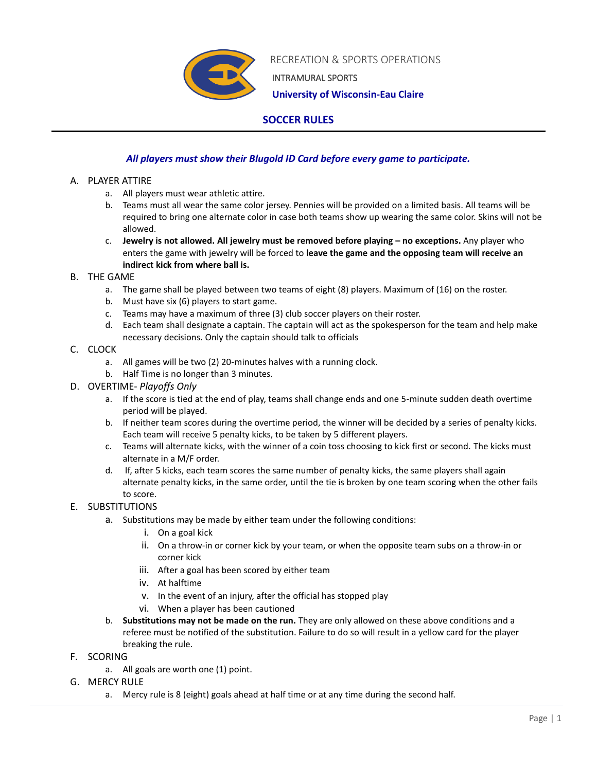

RECREATION & SPORTS OPERATIONS

INTRAMURAL SPORTS

 **University of Wisconsin-Eau Claire**

# **SOCCER RULES**

## *All players must show their Blugold ID Card before every game to participate.*

## A. PLAYER ATTIRE

- a. All players must wear athletic attire.
- b. Teams must all wear the same color jersey. Pennies will be provided on a limited basis. All teams will be required to bring one alternate color in case both teams show up wearing the same color. Skins will not be allowed.
- c. **Jewelry is not allowed. All jewelry must be removed before playing – no exceptions.** Any player who enters the game with jewelry will be forced to **leave the game and the opposing team will receive an indirect kick from where ball is.**

## B. THE GAME

- a. The game shall be played between two teams of eight (8) players. Maximum of (16) on the roster.
- b. Must have six (6) players to start game.
- c. Teams may have a maximum of three (3) club soccer players on their roster.
- d. Each team shall designate a captain. The captain will act as the spokesperson for the team and help make necessary decisions. Only the captain should talk to officials

## C. CLOCK

- a. All games will be two (2) 20-minutes halves with a running clock.
- b. Half Time is no longer than 3 minutes.

## D. OVERTIME- *Playoffs Only*

- a. If the score is tied at the end of play, teams shall change ends and one 5-minute sudden death overtime period will be played.
- b. If neither team scores during the overtime period, the winner will be decided by a series of penalty kicks. Each team will receive 5 penalty kicks, to be taken by 5 different players.
- c. Teams will alternate kicks, with the winner of a coin toss choosing to kick first or second. The kicks must alternate in a M/F order.
- d. If, after 5 kicks, each team scores the same number of penalty kicks, the same players shall again alternate penalty kicks, in the same order, until the tie is broken by one team scoring when the other fails to score.

## E. SUBSTITUTIONS

- a. Substitutions may be made by either team under the following conditions:
	- i. On a goal kick
	- ii. On a throw-in or corner kick by your team, or when the opposite team subs on a throw-in or corner kick
	- iii. After a goal has been scored by either team
	- iv. At halftime
	- v. In the event of an injury, after the official has stopped play
	- vi. When a player has been cautioned
- b. **Substitutions may not be made on the run.** They are only allowed on these above conditions and a referee must be notified of the substitution. Failure to do so will result in a yellow card for the player breaking the rule.
- F. SCORING
	- a. All goals are worth one (1) point.
- G. MERCY RULE
	- a. Mercy rule is 8 (eight) goals ahead at half time or at any time during the second half.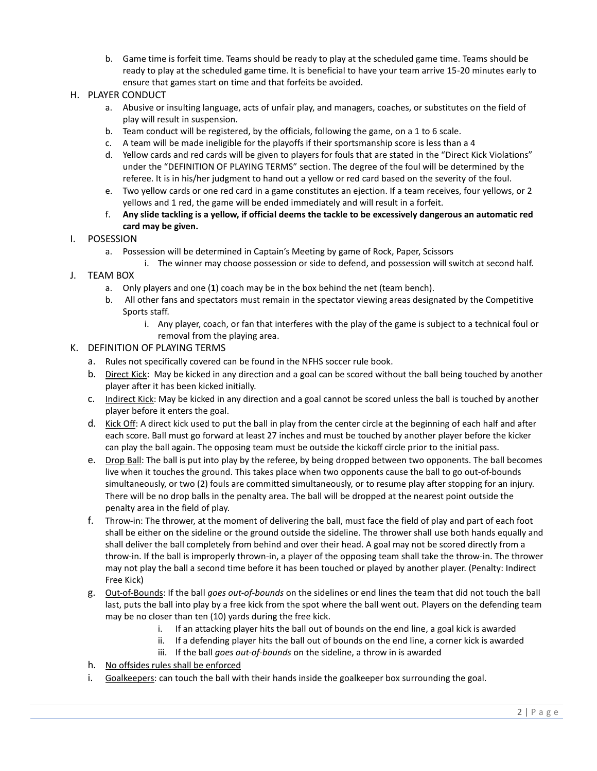b. Game time is forfeit time. Teams should be ready to play at the scheduled game time. Teams should be ready to play at the scheduled game time. It is beneficial to have your team arrive 15-20 minutes early to ensure that games start on time and that forfeits be avoided.

### H. PLAYER CONDUCT

- a. Abusive or insulting language, acts of unfair play, and managers, coaches, or substitutes on the field of play will result in suspension.
- b. Team conduct will be registered, by the officials, following the game, on a 1 to 6 scale.
- c. A team will be made ineligible for the playoffs if their sportsmanship score is less than a 4
- d. Yellow cards and red cards will be given to players for fouls that are stated in the "Direct Kick Violations" under the "DEFINITION OF PLAYING TERMS" section. The degree of the foul will be determined by the referee. It is in his/her judgment to hand out a yellow or red card based on the severity of the foul.
- e. Two yellow cards or one red card in a game constitutes an ejection. If a team receives, four yellows, or 2 yellows and 1 red, the game will be ended immediately and will result in a forfeit.
- f. **Any slide tackling is a yellow, if official deems the tackle to be excessively dangerous an automatic red card may be given.**

### I. POSESSION

- a. Possession will be determined in Captain's Meeting by game of Rock, Paper, Scissors
	- i. The winner may choose possession or side to defend, and possession will switch at second half.
- J. TEAM BOX
	- a. Only players and one (**1**) coach may be in the box behind the net (team bench).
	- b. All other fans and spectators must remain in the spectator viewing areas designated by the Competitive Sports staff.
		- i. Any player, coach, or fan that interferes with the play of the game is subject to a technical foul or removal from the playing area.

#### K. DEFINITION OF PLAYING TERMS

- a. Rules not specifically covered can be found in the NFHS soccer rule book.
- b. Direct Kick: May be kicked in any direction and a goal can be scored without the ball being touched by another player after it has been kicked initially.
- c. Indirect Kick: May be kicked in any direction and a goal cannot be scored unless the ball is touched by another player before it enters the goal.
- d. Kick Off: A direct kick used to put the ball in play from the center circle at the beginning of each half and after each score. Ball must go forward at least 27 inches and must be touched by another player before the kicker can play the ball again. The opposing team must be outside the kickoff circle prior to the initial pass.
- e. Drop Ball: The ball is put into play by the referee, by being dropped between two opponents. The ball becomes live when it touches the ground. This takes place when two opponents cause the ball to go out-of-bounds simultaneously, or two (2) fouls are committed simultaneously, or to resume play after stopping for an injury. There will be no drop balls in the penalty area. The ball will be dropped at the nearest point outside the penalty area in the field of play.
- f. Throw-in: The thrower, at the moment of delivering the ball, must face the field of play and part of each foot shall be either on the sideline or the ground outside the sideline. The thrower shall use both hands equally and shall deliver the ball completely from behind and over their head. A goal may not be scored directly from a throw-in. If the ball is improperly thrown-in, a player of the opposing team shall take the throw-in. The thrower may not play the ball a second time before it has been touched or played by another player. (Penalty: Indirect Free Kick)
- g. Out-of-Bounds: If the ball *goes out-of-bounds* on the sidelines or end lines the team that did not touch the ball last, puts the ball into play by a free kick from the spot where the ball went out. Players on the defending team may be no closer than ten (10) yards during the free kick.
	- i. If an attacking player hits the ball out of bounds on the end line, a goal kick is awarded
	- ii. If a defending player hits the ball out of bounds on the end line, a corner kick is awarded
	- iii. If the ball *goes out-of-bounds* on the sideline, a throw in is awarded
- h. No offsides rules shall be enforced
- i. Goalkeepers: can touch the ball with their hands inside the goalkeeper box surrounding the goal.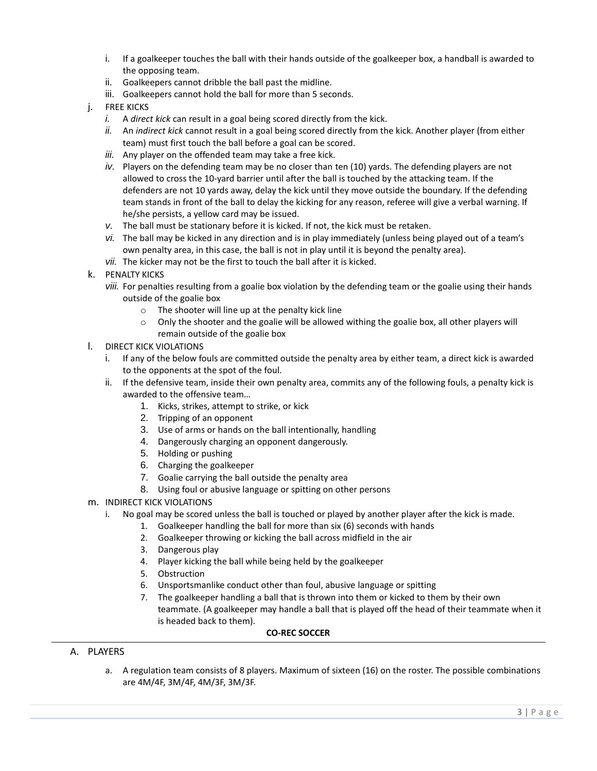- i. If a goalkeeper touches the ball with their hands outside of the goalkeeper box, a handball is awarded to the opposing team.
- ii. Goalkeepers cannot dribble the ball past the midline.
- iii. Goalkeepers cannot hold the ball for more than 5 seconds.
- j. FREE KICKS
	- *i.* A *direct kick* can result in a goal being scored directly from the kick.
	- *ii.* An *indirect kick* cannot result in a goal being scored directly from the kick. Another player (from either team) must first touch the ball before a goal can be scored.
	- *iii.* Any player on the offended team may take a free kick.
	- *iv.* Players on the defending team may be no closer than ten (10) yards. The defending players are not allowed to cross the 10-yard barrier until after the ball is touched by the attacking team. If the defenders are not 10 yards away, delay the kick until they move outside the boundary. If the defending team stands in front of the ball to delay the kicking for any reason, referee will give a verbal warning. If he/she persists, a yellow card may be issued.
	- *v.* The ball must be stationary before it is kicked. If not, the kick must be retaken.
	- *vi.* The ball may be kicked in any direction and is in play immediately (unless being played out of a team's own penalty area, in this case, the ball is not in play until it is beyond the penalty area).
	- *vii.* The kicker may not be the first to touch the ball after it is kicked.
- k. PENALTY KICKS
	- *viii.* For penalties resulting from a goalie box violation by the defending team or the goalie using their hands outside of the goalie box
		- o The shooter will line up at the penalty kick line
		- $\circ$  Only the shooter and the goalie will be allowed withing the goalie box, all other players will remain outside of the goalie box
- l. DIRECT KICK VIOLATIONS
	- i. If any of the below fouls are committed outside the penalty area by either team, a direct kick is awarded to the opponents at the spot of the foul.
	- ii. If the defensive team, inside their own penalty area, commits any of the following fouls, a penalty kick is awarded to the offensive team…
		- 1. Kicks, strikes, attempt to strike, or kick
		- 2. Tripping of an opponent
		- 3. Use of arms or hands on the ball intentionally, handling
		- 4. Dangerously charging an opponent dangerously.
		- 5. Holding or pushing
		- 6. Charging the goalkeeper
		- 7. Goalie carrying the ball outside the penalty area
		- 8. Using foul or abusive language or spitting on other persons
- m. INDIRECT KICK VIOLATIONS
	- i. No goal may be scored unless the ball is touched or played by another player after the kick is made.
		- 1. Goalkeeper handling the ball for more than six (6) seconds with hands
		- 2. Goalkeeper throwing or kicking the ball across midfield in the air
		- 3. Dangerous play
		- 4. Player kicking the ball while being held by the goalkeeper
		- 5. Obstruction
		- 6. Unsportsmanlike conduct other than foul, abusive language or spitting
		- 7. The goalkeeper handling a ball that is thrown into them or kicked to them by their own teammate. (A goalkeeper may handle a ball that is played off the head of their teammate when it is headed back to them).

### **CO-REC SOCCER**

### A. PLAYERS

a. A regulation team consists of 8 players. Maximum of sixteen (16) on the roster. The possible combinations are 4M/4F, 3M/4F, 4M/3F, 3M/3F.